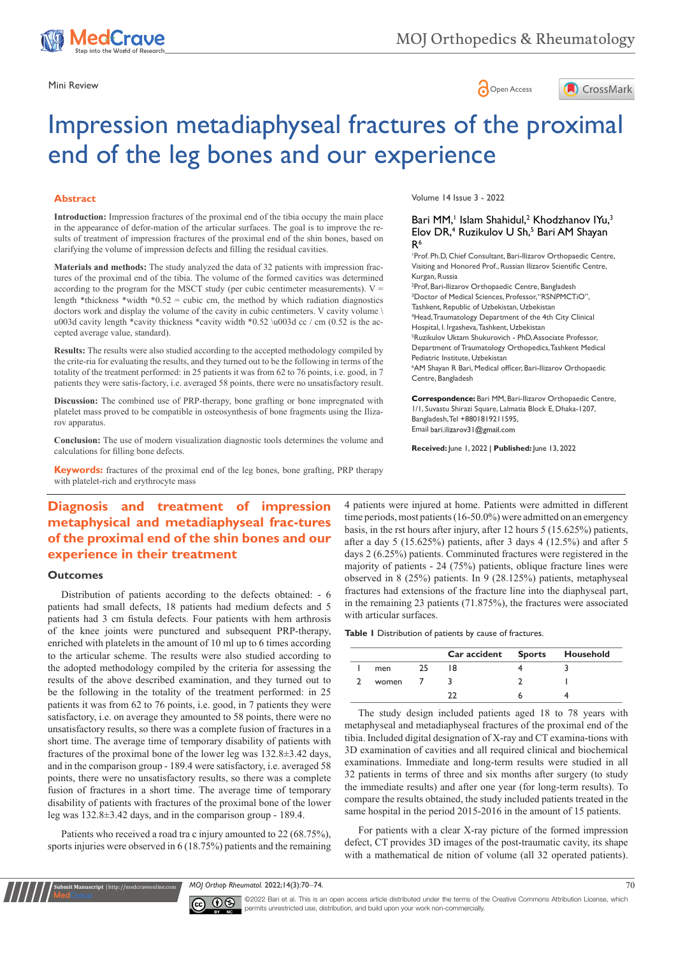

## Mini Review **Open Access**



# Impression metadiaphyseal fractures of the proximal end of the leg bones and our experience

## **Abstract**

**Introduction:** Impression fractures of the proximal end of the tibia occupy the main place in the appearance of defor-mation of the articular surfaces. The goal is to improve the results of treatment of impression fractures of the proximal end of the shin bones, based on clarifying the volume of impression defects and filling the residual cavities.

**Materials and methods:** The study analyzed the data of 32 patients with impression fractures of the proximal end of the tibia. The volume of the formed cavities was determined according to the program for the MSCT study (per cubic centimeter measurements).  $V =$ length \*thickness \*width \*0.52 = cubic cm, the method by which radiation diagnostics doctors work and display the volume of the cavity in cubic centimeters. V cavity volume \ u003d cavity length \*cavity thickness \*cavity width \*0.52 \u003d cc / cm (0.52 is the accepted average value, standard).

**Results:** The results were also studied according to the accepted methodology compiled by the crite-ria for evaluating the results, and they turned out to be the following in terms of the totality of the treatment performed: in 25 patients it was from 62 to 76 points, i.e. good, in 7 patients they were satis-factory, i.e. averaged 58 points, there were no unsatisfactory result.

**Discussion:** The combined use of PRP-therapy, bone grafting or bone impregnated with platelet mass proved to be compatible in osteosynthesis of bone fragments using the Ilizarov apparatus.

**Conclusion:** The use of modern visualization diagnostic tools determines the volume and calculations for filling bone defects.

**Keywords:** fractures of the proximal end of the leg bones, bone grafting, PRP therapy with platelet-rich and erythrocyte mass

# **Diagnosis and treatment of impression metaphysical and metadiaphyseal frac-tures of the proximal end of the shin bones and our experience in their treatment**

## **Outcomes**

Distribution of patients according to the defects obtained: - 6 patients had small defects, 18 patients had medium defects and 5 patients had 3 cm fistula defects. Four patients with hem arthrosis of the knee joints were punctured and subsequent PRP-therapy, enriched with platelets in the amount of 10 ml up to 6 times according to the articular scheme. The results were also studied according to the adopted methodology compiled by the criteria for assessing the results of the above described examination, and they turned out to be the following in the totality of the treatment performed: in 25 patients it was from 62 to 76 points, i.e. good, in 7 patients they were satisfactory, i.e. on average they amounted to 58 points, there were no unsatisfactory results, so there was a complete fusion of fractures in a short time. The average time of temporary disability of patients with fractures of the proximal bone of the lower leg was 132.8±3.42 days, and in the comparison group - 189.4 were satisfactory, i.e. averaged 58 points, there were no unsatisfactory results, so there was a complete fusion of fractures in a short time. The average time of temporary disability of patients with fractures of the proximal bone of the lower leg was 132.8±3.42 days, and in the comparison group - 189.4.

Patients who received a road tra c injury amounted to 22 (68.75%), sports injuries were observed in 6 (18.75%) patients and the remaining

**it Manuscript** | http://medcraveonline.c

Volume 14 Issue 3 - 2022

#### Bari MM,<sup>1</sup> Islam Shahidul,<sup>2</sup> Khodzhanov IYu,<sup>3</sup> Elov DR,<sup>4</sup> Ruzikulov U Sh,<sup>5</sup> Bari AM Shayan R<sup>6</sup>

1 Prof. Ph.D, Chief Consultant, Bari-Ilizarov Orthopaedic Centre, Visiting and Honored Prof., Russian Ilizarov Scientific Centre, Kurgan, Russia

2 Prof, Bari-Ilizarov Orthopaedic Centre, Bangladesh 3 Doctor of Medical Sciences, Professor, "RSNPMCTiO", Tashkent, Republic of Uzbekistan, Uzbekistan 4 Head, Traumatology Department of the 4th City Clinical Hospital, I. Irgasheva, Tashkent, Uzbekistan 5 Ruzikulov Uktam Shukurovich - PhD, Associate Professor, Department of Traumatology Orthopedics, Tashkent Medical Pediatric Institute, Uzbekistan 6 AM Shayan R Bari, Medical officer, Bari-Ilizarov Orthopaedic Centre, Bangladesh

**Correspondence:** Bari MM, Bari-Ilizarov Orthopaedic Centre, 1/1, Suvastu Shirazi Square, Lalmatia Block E, Dhaka-1207, Bangladesh, Tel +8801819211595, Email bari.ilizarov3 | @gmail.com

**Received:** June 1, 2022 | **Published:** June 13, 2022

4 patients were injured at home. Patients were admitted in different time periods, most patients (16-50.0%) were admitted on an emergency basis, in the rst hours after injury, after 12 hours 5 (15.625%) patients, after a day 5 (15.625%) patients, after 3 days 4 (12.5%) and after 5 days 2 (6.25%) patients. Comminuted fractures were registered in the majority of patients - 24 (75%) patients, oblique fracture lines were observed in 8 (25%) patients. In 9 (28.125%) patients, metaphyseal fractures had extensions of the fracture line into the diaphyseal part, in the remaining 23 patients (71.875%), the fractures were associated with articular surfaces.

**Table 1** Distribution of patients by cause of fractures.

|       |    | Car accident Sports Household |  |
|-------|----|-------------------------------|--|
| men   | 25 | 18                            |  |
| women |    |                               |  |
|       |    |                               |  |

The study design included patients aged 18 to 78 years with metaphyseal and metadiaphyseal fractures of the proximal end of the tibia. Included digital designation of X-ray and CT examina-tions with 3D examination of cavities and all required clinical and biochemical examinations. Immediate and long-term results were studied in all 32 patients in terms of three and six months after surgery (to study the immediate results) and after one year (for long-term results). To compare the results obtained, the study included patients treated in the same hospital in the period 2015-2016 in the amount of 15 patients.

For patients with a clear X-ray picture of the formed impression defect, CT provides 3D images of the post-traumatic cavity, its shape with a mathematical de nition of volume (all 32 operated patients).

*MOJ Orthop Rheumatol.* 2022;14(3):70‒74. 70



©2022 Bari et al. This is an open access article distributed under the terms of the Creative Commons Attribution License, which permits unrestricted use, distribution, and build upon your work non-commercially.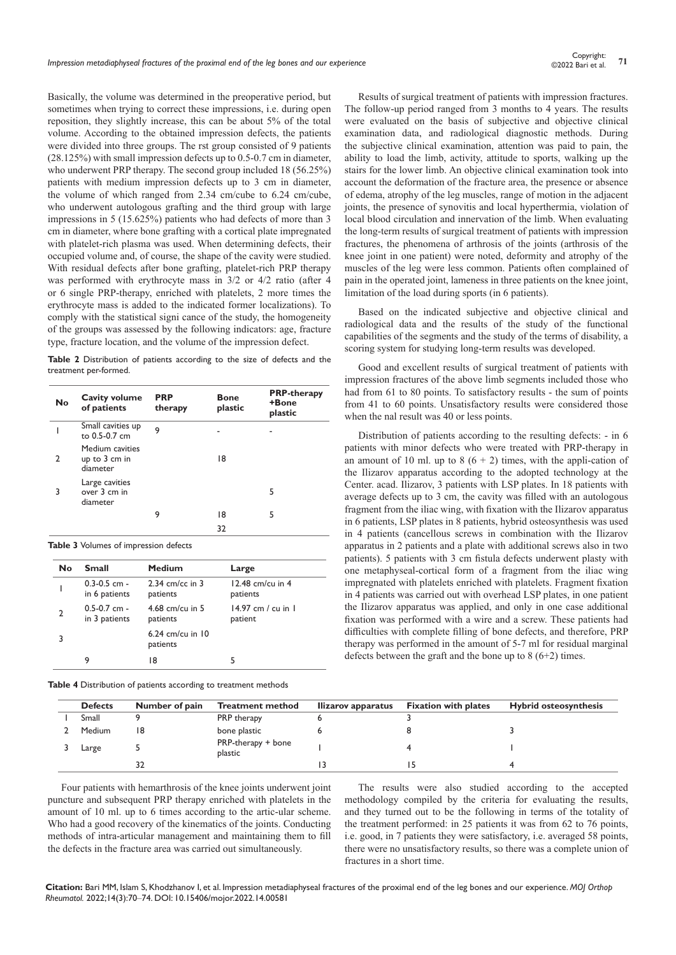Basically, the volume was determined in the preoperative period, but sometimes when trying to correct these impressions, i.e. during open reposition, they slightly increase, this can be about 5% of the total volume. According to the obtained impression defects, the patients were divided into three groups. The rst group consisted of 9 patients (28.125%) with small impression defects up to 0.5-0.7 cm in diameter, who underwent PRP therapy. The second group included 18 (56.25%) patients with medium impression defects up to 3 cm in diameter, the volume of which ranged from 2.34 cm/cube to 6.24 cm/cube, who underwent autologous grafting and the third group with large impressions in 5 (15.625%) patients who had defects of more than 3 cm in diameter, where bone grafting with a cortical plate impregnated with platelet-rich plasma was used. When determining defects, their occupied volume and, of course, the shape of the cavity were studied. With residual defects after bone grafting, platelet-rich PRP therapy was performed with erythrocyte mass in 3/2 or 4/2 ratio (after 4 or 6 single PRP-therapy, enriched with platelets, 2 more times the erythrocyte mass is added to the indicated former localizations). To comply with the statistical signi cance of the study, the homogeneity of the groups was assessed by the following indicators: age, fracture type, fracture location, and the volume of the impression defect.

**Table 2** Distribution of patients according to the size of defects and the treatment per-formed.

| <b>No</b> | Cavity volume<br>of patients                 | <b>PRP</b><br>therapy | <b>Bone</b><br>plastic | <b>PRP-therapy</b><br>+Bone<br>plastic |
|-----------|----------------------------------------------|-----------------------|------------------------|----------------------------------------|
|           | Small cavities up<br>to 0.5-0.7 cm           | 9                     |                        |                                        |
| 2         | Medium cavities<br>up to 3 cm in<br>diameter |                       | 18                     |                                        |
| 3         | Large cavities<br>over 3 cm in<br>diameter   |                       |                        | 5                                      |
|           |                                              | 9                     | 18                     | 5                                      |
|           |                                              |                       | 32                     |                                        |

**Table 3** Volumes of impression defects

| No | <b>Small</b>                      | <b>Medium</b>                 | Large                           |
|----|-----------------------------------|-------------------------------|---------------------------------|
|    | $0.3 - 0.5$ cm -<br>in 6 patients | 2.34 cm/cc in $3$<br>patients | $12.48$ cm/cu in 4<br>patients  |
| 2  | $0.5 - 0.7$ cm -<br>in 3 patients | 4.68 cm/cu in $5$<br>patients | $14.97$ cm / cu in 1<br>patient |
| 3  |                                   | 6.24 cm/cu in 10<br>patients  |                                 |
|    | 9                                 | 18                            |                                 |

**Table 4** Distribution of patients according to treatment methods

Results of surgical treatment of patients with impression fractures. The follow-up period ranged from 3 months to 4 years. The results were evaluated on the basis of subjective and objective clinical examination data, and radiological diagnostic methods. During the subjective clinical examination, attention was paid to pain, the ability to load the limb, activity, attitude to sports, walking up the stairs for the lower limb. An objective clinical examination took into account the deformation of the fracture area, the presence or absence of edema, atrophy of the leg muscles, range of motion in the adjacent joints, the presence of synovitis and local hyperthermia, violation of local blood circulation and innervation of the limb. When evaluating the long-term results of surgical treatment of patients with impression fractures, the phenomena of arthrosis of the joints (arthrosis of the knee joint in one patient) were noted, deformity and atrophy of the muscles of the leg were less common. Patients often complained of pain in the operated joint, lameness in three patients on the knee joint, limitation of the load during sports (in 6 patients).

Based on the indicated subjective and objective clinical and radiological data and the results of the study of the functional capabilities of the segments and the study of the terms of disability, a scoring system for studying long-term results was developed.

Good and excellent results of surgical treatment of patients with impression fractures of the above limb segments included those who had from 61 to 80 points. To satisfactory results - the sum of points from 41 to 60 points. Unsatisfactory results were considered those when the nal result was 40 or less points.

Distribution of patients according to the resulting defects: - in 6 patients with minor defects who were treated with PRP-therapy in an amount of 10 ml. up to 8  $(6 + 2)$  times, with the appli-cation of the Ilizarov apparatus according to the adopted technology at the Center. acad. Ilizarov, 3 patients with LSP plates. In 18 patients with average defects up to 3 cm, the cavity was filled with an autologous fragment from the iliac wing, with fixation with the Ilizarov apparatus in 6 patients, LSP plates in 8 patients, hybrid osteosynthesis was used in 4 patients (cancellous screws in combination with the Ilizarov apparatus in 2 patients and a plate with additional screws also in two patients). 5 patients with 3 cm fistula defects underwent plasty with one metaphyseal-cortical form of a fragment from the iliac wing impregnated with platelets enriched with platelets. Fragment fixation in 4 patients was carried out with overhead LSP plates, in one patient the Ilizarov apparatus was applied, and only in one case additional fixation was performed with a wire and a screw. These patients had difficulties with complete filling of bone defects, and therefore, PRP therapy was performed in the amount of 5-7 ml for residual marginal defects between the graft and the bone up to  $8(6+2)$  times.

| <b>Defects</b> | Number of pain | <b>Treatment method</b>       | llizarov apparatus | <b>Fixation with plates</b> | <b>Hybrid osteosynthesis</b> |
|----------------|----------------|-------------------------------|--------------------|-----------------------------|------------------------------|
| Small          |                | PRP therapy                   |                    |                             |                              |
| Medium         | 18             | bone plastic                  |                    |                             |                              |
| Large          |                | PRP-therapy + bone<br>plastic |                    |                             |                              |
|                |                |                               |                    |                             |                              |

Four patients with hemarthrosis of the knee joints underwent joint puncture and subsequent PRP therapy enriched with platelets in the amount of 10 ml. up to 6 times according to the artic-ular scheme. Who had a good recovery of the kinematics of the joints. Conducting methods of intra-articular management and maintaining them to fill the defects in the fracture area was carried out simultaneously.

The results were also studied according to the accepted methodology compiled by the criteria for evaluating the results, and they turned out to be the following in terms of the totality of the treatment performed: in 25 patients it was from 62 to 76 points, i.e. good, in 7 patients they were satisfactory, i.e. averaged 58 points, there were no unsatisfactory results, so there was a complete union of fractures in a short time.

**Citation:** Bari MM, Islam S, Khodzhanov I, et al. Impression metadiaphyseal fractures of the proximal end of the leg bones and our experience. *MOJ Orthop Rheumatol.* 2022;14(3):70‒74. DOI: [10.15406/mojor.2022.14.00581](https://doi.org/10.15406/mojor.2022.14.00581)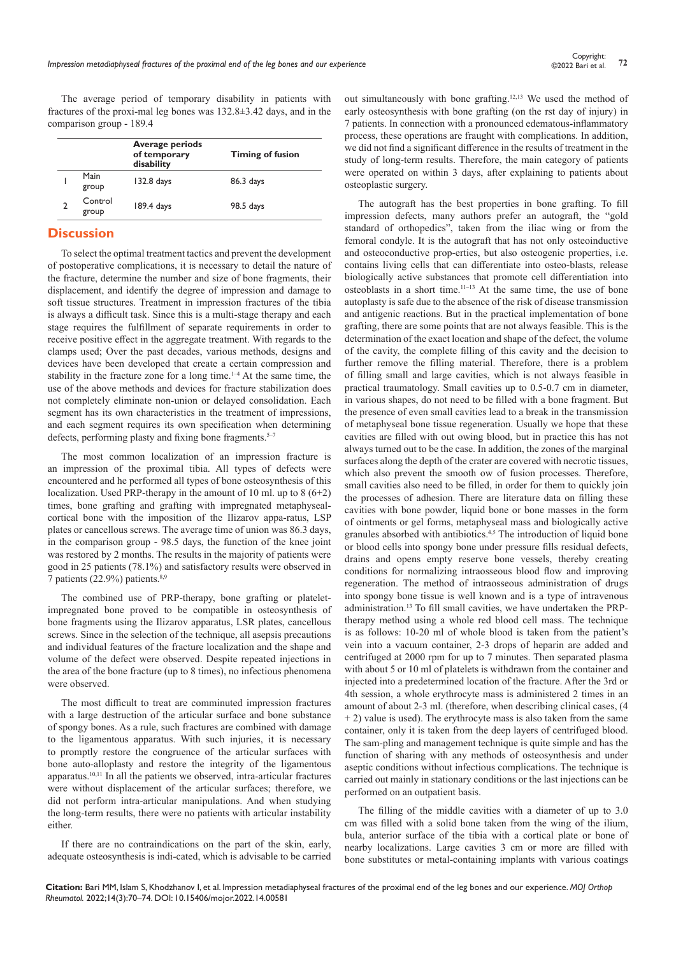The average period of temporary disability in patients with fractures of the proxi-mal leg bones was 132.8±3.42 days, and in the comparison group - 189.4

|                  | Average periods<br>of temporary<br>disability | <b>Timing of fusion</b> |
|------------------|-----------------------------------------------|-------------------------|
| Main<br>group    | 132.8 days                                    | 86.3 days               |
| Control<br>group | 189.4 days                                    | 98.5 days               |

## **Discussion**

To select the optimal treatment tactics and prevent the development of postoperative complications, it is necessary to detail the nature of the fracture, determine the number and size of bone fragments, their displacement, and identify the degree of impression and damage to soft tissue structures. Treatment in impression fractures of the tibia is always a difficult task. Since this is a multi-stage therapy and each stage requires the fulfillment of separate requirements in order to receive positive effect in the aggregate treatment. With regards to the clamps used; Over the past decades, various methods, designs and devices have been developed that create a certain compression and stability in the fracture zone for a long time.<sup>1-4</sup> At the same time, the use of the above methods and devices for fracture stabilization does not completely eliminate non-union or delayed consolidation. Each segment has its own characteristics in the treatment of impressions, and each segment requires its own specification when determining defects, performing plasty and fixing bone fragments.<sup>5-7</sup>

The most common localization of an impression fracture is an impression of the proximal tibia. All types of defects were encountered and he performed all types of bone osteosynthesis of this localization. Used PRP-therapy in the amount of 10 ml. up to  $8(6+2)$ times, bone grafting and grafting with impregnated metaphysealcortical bone with the imposition of the Ilizarov appa-ratus, LSP plates or cancellous screws. The average time of union was 86.3 days, in the comparison group - 98.5 days, the function of the knee joint was restored by 2 months. The results in the majority of patients were good in 25 patients (78.1%) and satisfactory results were observed in 7 patients (22.9%) patients.8,9

The combined use of PRP-therapy, bone grafting or plateletimpregnated bone proved to be compatible in osteosynthesis of bone fragments using the Ilizarov apparatus, LSR plates, cancellous screws. Since in the selection of the technique, all asepsis precautions and individual features of the fracture localization and the shape and volume of the defect were observed. Despite repeated injections in the area of the bone fracture (up to 8 times), no infectious phenomena were observed.

The most difficult to treat are comminuted impression fractures with a large destruction of the articular surface and bone substance of spongy bones. As a rule, such fractures are combined with damage to the ligamentous apparatus. With such injuries, it is necessary to promptly restore the congruence of the articular surfaces with bone auto-alloplasty and restore the integrity of the ligamentous apparatus.10,11 In all the patients we observed, intra-articular fractures were without displacement of the articular surfaces; therefore, we did not perform intra-articular manipulations. And when studying the long-term results, there were no patients with articular instability either.

If there are no contraindications on the part of the skin, early, adequate osteosynthesis is indi-cated, which is advisable to be carried out simultaneously with bone grafting.12,13 We used the method of early osteosynthesis with bone grafting (on the rst day of injury) in 7 patients. In connection with a pronounced edematous-inflammatory process, these operations are fraught with complications. In addition, we did not find a significant difference in the results of treatment in the study of long-term results. Therefore, the main category of patients were operated on within 3 days, after explaining to patients about osteoplastic surgery.

The autograft has the best properties in bone grafting. To fill impression defects, many authors prefer an autograft, the "gold standard of orthopedics", taken from the iliac wing or from the femoral condyle. It is the autograft that has not only osteoinductive and osteoconductive prop-erties, but also osteogenic properties, i.e. contains living cells that can differentiate into osteo-blasts, release biologically active substances that promote cell differentiation into osteoblasts in a short time.11–13 At the same time, the use of bone autoplasty is safe due to the absence of the risk of disease transmission and antigenic reactions. But in the practical implementation of bone grafting, there are some points that are not always feasible. This is the determination of the exact location and shape of the defect, the volume of the cavity, the complete filling of this cavity and the decision to further remove the filling material. Therefore, there is a problem of filling small and large cavities, which is not always feasible in practical traumatology. Small cavities up to 0.5-0.7 cm in diameter, in various shapes, do not need to be filled with a bone fragment. But the presence of even small cavities lead to a break in the transmission of metaphyseal bone tissue regeneration. Usually we hope that these cavities are filled with out owing blood, but in practice this has not always turned out to be the case. In addition, the zones of the marginal surfaces along the depth of the crater are covered with necrotic tissues, which also prevent the smooth ow of fusion processes. Therefore, small cavities also need to be filled, in order for them to quickly join the processes of adhesion. There are literature data on filling these cavities with bone powder, liquid bone or bone masses in the form of ointments or gel forms, metaphyseal mass and biologically active granules absorbed with antibiotics.4,5 The introduction of liquid bone or blood cells into spongy bone under pressure fills residual defects, drains and opens empty reserve bone vessels, thereby creating conditions for normalizing intraosseous blood flow and improving regeneration. The method of intraosseous administration of drugs into spongy bone tissue is well known and is a type of intravenous administration.13 To fill small cavities, we have undertaken the PRPtherapy method using a whole red blood cell mass. The technique is as follows: 10-20 ml of whole blood is taken from the patient's vein into a vacuum container, 2-3 drops of heparin are added and centrifuged at 2000 rpm for up to 7 minutes. Then separated plasma with about 5 or 10 ml of platelets is withdrawn from the container and injected into a predetermined location of the fracture. After the 3rd or 4th session, a whole erythrocyte mass is administered 2 times in an amount of about 2-3 ml. (therefore, when describing clinical cases, (4 + 2) value is used). The erythrocyte mass is also taken from the same container, only it is taken from the deep layers of centrifuged blood. The sam-pling and management technique is quite simple and has the function of sharing with any methods of osteosynthesis and under aseptic conditions without infectious complications. The technique is carried out mainly in stationary conditions or the last injections can be performed on an outpatient basis.

The filling of the middle cavities with a diameter of up to 3.0 cm was filled with a solid bone taken from the wing of the ilium, bula, anterior surface of the tibia with a cortical plate or bone of nearby localizations. Large cavities 3 cm or more are filled with bone substitutes or metal-containing implants with various coatings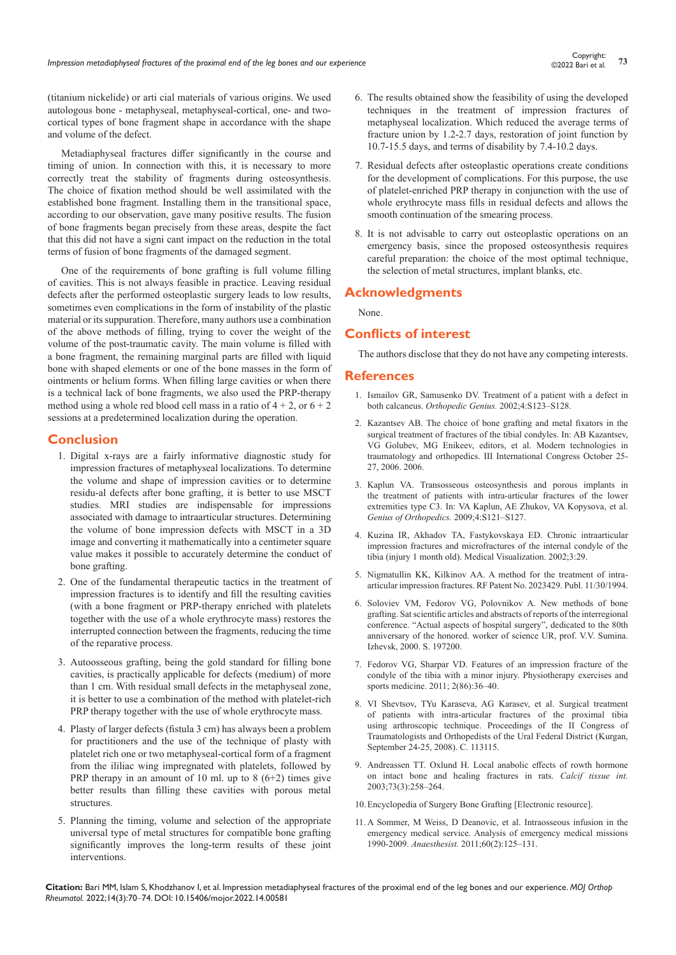(titanium nickelide) or arti cial materials of various origins. We used autologous bone - metaphyseal, metaphyseal-cortical, one- and twocortical types of bone fragment shape in accordance with the shape and volume of the defect.

Metadiaphyseal fractures differ significantly in the course and timing of union. In connection with this, it is necessary to more correctly treat the stability of fragments during osteosynthesis. The choice of fixation method should be well assimilated with the established bone fragment. Installing them in the transitional space, according to our observation, gave many positive results. The fusion of bone fragments began precisely from these areas, despite the fact that this did not have a signi cant impact on the reduction in the total terms of fusion of bone fragments of the damaged segment.

One of the requirements of bone grafting is full volume filling of cavities. This is not always feasible in practice. Leaving residual defects after the performed osteoplastic surgery leads to low results, sometimes even complications in the form of instability of the plastic material or its suppuration. Therefore, many authors use a combination of the above methods of filling, trying to cover the weight of the volume of the post-traumatic cavity. The main volume is filled with a bone fragment, the remaining marginal parts are filled with liquid bone with shaped elements or one of the bone masses in the form of ointments or helium forms. When filling large cavities or when there is a technical lack of bone fragments, we also used the PRP-therapy method using a whole red blood cell mass in a ratio of  $4 + 2$ , or  $6 + 2$ sessions at a predetermined localization during the operation.

## **Conclusion**

- 1. Digital x-rays are a fairly informative diagnostic study for impression fractures of metaphyseal localizations. To determine the volume and shape of impression cavities or to determine residu-al defects after bone grafting, it is better to use MSCT studies. MRI studies are indispensable for impressions associated with damage to intraarticular structures. Determining the volume of bone impression defects with MSCT in a 3D image and converting it mathematically into a centimeter square value makes it possible to accurately determine the conduct of bone grafting.
- 2. One of the fundamental therapeutic tactics in the treatment of impression fractures is to identify and fill the resulting cavities (with a bone fragment or PRP-therapy enriched with platelets together with the use of a whole erythrocyte mass) restores the interrupted connection between the fragments, reducing the time of the reparative process.
- 3. Autoosseous grafting, being the gold standard for filling bone cavities, is practically applicable for defects (medium) of more than 1 cm. With residual small defects in the metaphyseal zone, it is better to use a combination of the method with platelet-rich PRP therapy together with the use of whole erythrocyte mass.
- 4. Plasty of larger defects (fistula 3 cm) has always been a problem for practitioners and the use of the technique of plasty with platelet rich one or two metaphyseal-cortical form of a fragment from the ililiac wing impregnated with platelets, followed by PRP therapy in an amount of 10 ml. up to  $8(6+2)$  times give better results than filling these cavities with porous metal structures.
- 5. Planning the timing, volume and selection of the appropriate universal type of metal structures for compatible bone grafting significantly improves the long-term results of these joint interventions.
- 6. The results obtained show the feasibility of using the developed techniques in the treatment of impression fractures of metaphyseal localization. Which reduced the average terms of fracture union by 1.2-2.7 days, restoration of joint function by 10.7-15.5 days, and terms of disability by 7.4-10.2 days.
- 7. Residual defects after osteoplastic operations create conditions for the development of complications. For this purpose, the use of platelet-enriched PRP therapy in conjunction with the use of whole erythrocyte mass fills in residual defects and allows the smooth continuation of the smearing process.
- 8. It is not advisable to carry out osteoplastic operations on an emergency basis, since the proposed osteosynthesis requires careful preparation: the choice of the most optimal technique, the selection of metal structures, implant blanks, etc.

## **Acknowledgments**

None.

### **Conflicts of interest**

The authors disclose that they do not have any competing interests.

#### **References**

- 1. Ismailov GR, Samusenko DV. Treatment of a patient with a defect in both calcaneus. *Orthopedic Genius.* 2002;4:S123–S128.
- 2. Kazantsev AB. The choice of bone grafting and metal fixators in the surgical treatment of fractures of the tibial condyles. In: AB Kazantsev, VG Golubev, MG Enikeev, editors, et al. Modern technologies in traumatology and orthopedics. III International Congress October 25- 27, 2006. 2006.
- 3. Kaplun VA. Transosseous osteosynthesis and porous implants in the treatment of patients with intra-articular fractures of the lower extremities type C3. In: VA Kaplun, AE Zhukov, VA Kopysova, et al. *Genius of Orthopedics.* 2009;4:S121–S127.
- 4. Kuzina IR, Akhadov TA, Fastykovskaya ED. Chronic intraarticular impression fractures and microfractures of the internal condyle of the tibia (injury 1 month old). Medical Visualization. 2002;3:29.
- 5. Nigmatullin KK, Kilkinov AA. A method for the treatment of intraarticular impression fractures. RF Patent No. 2023429. Publ. 11/30/1994.
- 6. Soloviev VM, Fedorov VG, Polovnikov A. New methods of bone grafting. Sat scientific articles and abstracts of reports of the interregional conference. "Actual aspects of hospital surgery", dedicated to the 80th anniversary of the honored. worker of science UR, prof. V.V. Sumina. Izhevsk, 2000. S. 197200.
- 7. Fedorov VG, Sharpar VD. Features of an impression fracture of the condyle of the tibia with a minor injury. Physiotherapy exercises and sports medicine. 2011; 2(86):36–40.
- 8. VI Shevtsov, TYu Karaseva, AG Karasev, et al. Surgical treatment of patients with intra-articular fractures of the proximal tibia using arthroscopic technique. Proceedings of the II Congress of Traumatologists and Orthopedists of the Ural Federal District (Kurgan, September 24-25, 2008). C. 113115.
- 9. [Andreassen TT. Oxlund H. Local anabolic effects of rowth hormone](https://pubmed.ncbi.nlm.nih.gov/14667139/)  [on intact bone and healing fractures in rats.](https://pubmed.ncbi.nlm.nih.gov/14667139/) *Calcif tissue int.* [2003;73\(3\):258–264.](https://pubmed.ncbi.nlm.nih.gov/14667139/)
- 10.Encyclopedia of Surgery Bone Grafting [Electronic resource].
- 11. [A Sommer, M Weiss, D Deanovic, et al. Intraosseous infusion in the](https://pubmed.ncbi.nlm.nih.gov/21184043/)  [emergency medical service. Analysis of emergency medical missions](https://pubmed.ncbi.nlm.nih.gov/21184043/)  1990-2009. *Anaesthesist.* [2011;60\(2\):125–131.](https://pubmed.ncbi.nlm.nih.gov/21184043/)

**Citation:** Bari MM, Islam S, Khodzhanov I, et al. Impression metadiaphyseal fractures of the proximal end of the leg bones and our experience. *MOJ Orthop Rheumatol.* 2022;14(3):70‒74. DOI: [10.15406/mojor.2022.14.00581](https://doi.org/10.15406/mojor.2022.14.00581)